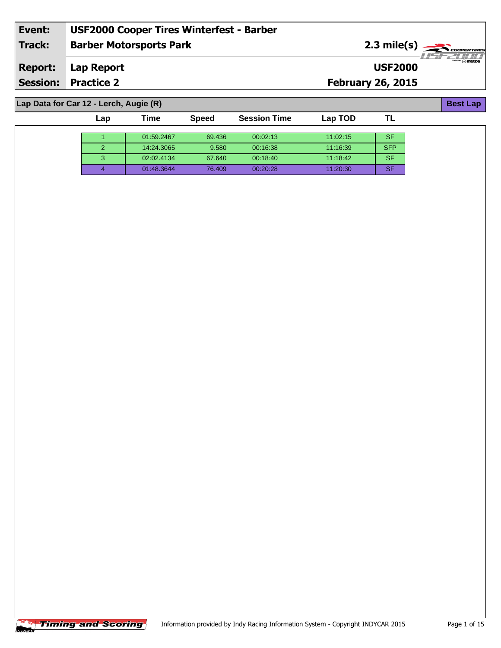| Event:         | <b>USF2000 Cooper Tires Winterfest - Barber</b> |                          |                                         |
|----------------|-------------------------------------------------|--------------------------|-----------------------------------------|
| <b>Track:</b>  | <b>Barber Motorsports Park</b>                  |                          | $2.3$ mile(s) $\rightarrow$ COOPERTIRES |
| <b>Report:</b> | Lap Report                                      | <b>USF2000</b>           | $\overline{\mathcal{P}}$ mazp           |
|                | <b>Session: Practice 2</b>                      | <b>February 26, 2015</b> |                                         |
|                |                                                 |                          |                                         |
|                | Lap Data for Car 12 - Lerch, Augie (R)          |                          | <b>Best Lap</b>                         |

| Lap | Time       | <b>Speed</b> | <b>Session Time</b> | Lap TOD  |            |
|-----|------------|--------------|---------------------|----------|------------|
|     |            |              |                     |          |            |
|     | 01:59.2467 | 69.436       | 00:02:13            | 11:02:15 | <b>SF</b>  |
|     | 14:24.3065 | 9.580        | 00:16:38            | 11:16:39 | <b>SFP</b> |
|     | 02:02.4134 | 67.640       | 00:18:40            | 11:18:42 | <b>SF</b>  |
|     | 01:48.3644 | 76.409       | 00:20:28            | 11:20:30 | <b>SF</b>  |

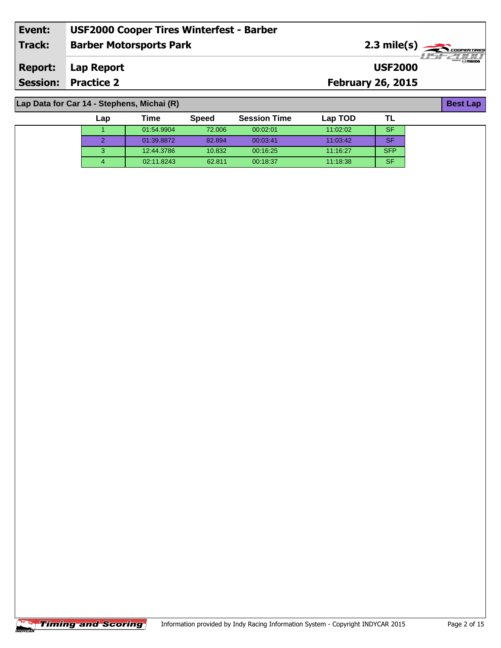| Event:         | <b>USF2000 Cooper Tires Winterfest - Barber</b> |                          |                                                                                                                                                                                                                                                                                                                                                     |
|----------------|-------------------------------------------------|--------------------------|-----------------------------------------------------------------------------------------------------------------------------------------------------------------------------------------------------------------------------------------------------------------------------------------------------------------------------------------------------|
| Track:         | <b>Barber Motorsports Park</b>                  |                          | $2.3 \text{ mile(s)}$<br>71515211111                                                                                                                                                                                                                                                                                                                |
| <b>Report:</b> | Lap Report                                      | <b>USF2000</b>           | $\begin{picture}(180,10) \put(0,0){\line(1,0){10}} \put(10,0){\line(1,0){10}} \put(10,0){\line(1,0){10}} \put(10,0){\line(1,0){10}} \put(10,0){\line(1,0){10}} \put(10,0){\line(1,0){10}} \put(10,0){\line(1,0){10}} \put(10,0){\line(1,0){10}} \put(10,0){\line(1,0){10}} \put(10,0){\line(1,0){10}} \put(10,0){\line(1,0){10}} \put(10,0){\line($ |
|                | <b>Session: Practice 2</b>                      | <b>February 26, 2015</b> |                                                                                                                                                                                                                                                                                                                                                     |
|                |                                                 |                          |                                                                                                                                                                                                                                                                                                                                                     |
|                | Lap Data for Car 14 - Stephens, Michai (R)      |                          | <b>Best Lap</b>                                                                                                                                                                                                                                                                                                                                     |

| Lap | Time       | <b>Speed</b> | <b>Session Time</b> | Lap TOD  |            |
|-----|------------|--------------|---------------------|----------|------------|
|     | 01:54.9904 | 72.006       | 00:02:01            | 11:02:02 | <b>SF</b>  |
|     | 01:39.8872 | 82.894       | 00:03:41            | 11:03:42 | <b>SF</b>  |
| з   | 12:44.3786 | 10.832       | 00:16:25            | 11:16:27 | <b>SFP</b> |
| 4   | 02:11.8243 | 62.811       | 00:18:37            | 11:18:38 | <b>SF</b>  |

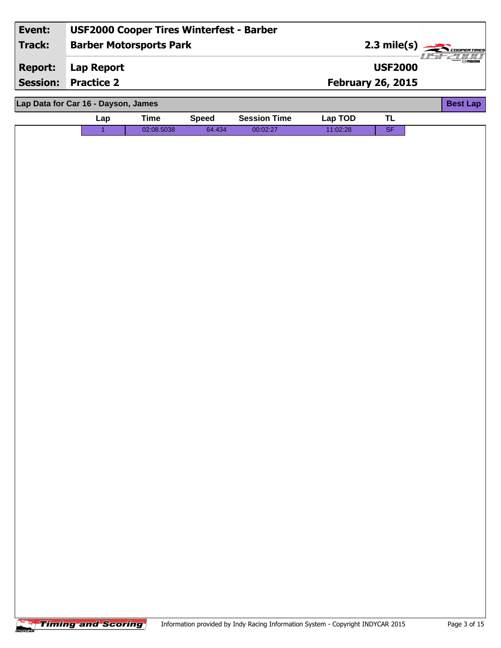| Event:          | <b>USF2000 Cooper Tires Winterfest - Barber</b> |             |              |                     |                          |                           |                         |
|-----------------|-------------------------------------------------|-------------|--------------|---------------------|--------------------------|---------------------------|-------------------------|
| <b>Track:</b>   | <b>Barber Motorsports Park</b>                  |             |              |                     |                          | 2.3 mile(s) $\frac{1}{2}$ | <b>COOPERTIRES</b>      |
| <b>Report:</b>  | <b>Lap Report</b>                               |             |              |                     |                          | <b>USF2000</b>            | $\frac{1}{2}$ of mazina |
| <b>Session:</b> | <b>Practice 2</b>                               |             |              |                     | <b>February 26, 2015</b> |                           |                         |
|                 | Lap Data for Car 16 - Dayson, James             |             |              |                     |                          |                           | <b>Best Lap</b>         |
|                 | Lap                                             | <b>Time</b> | <b>Speed</b> | <b>Session Time</b> | Lap TOD                  | <b>TL</b>                 |                         |
|                 | $\mathbf{1}$                                    | 02:08.5038  | 64.434       | 00:02:27            | 11:02:28                 | SF                        |                         |
|                 |                                                 |             |              |                     |                          |                           |                         |
|                 |                                                 |             |              |                     |                          |                           |                         |
|                 |                                                 |             |              |                     |                          |                           |                         |
|                 |                                                 |             |              |                     |                          |                           |                         |
|                 |                                                 |             |              |                     |                          |                           |                         |
|                 |                                                 |             |              |                     |                          |                           |                         |
|                 |                                                 |             |              |                     |                          |                           |                         |
|                 |                                                 |             |              |                     |                          |                           |                         |
|                 |                                                 |             |              |                     |                          |                           |                         |
|                 |                                                 |             |              |                     |                          |                           |                         |
|                 |                                                 |             |              |                     |                          |                           |                         |
|                 |                                                 |             |              |                     |                          |                           |                         |
|                 |                                                 |             |              |                     |                          |                           |                         |
|                 |                                                 |             |              |                     |                          |                           |                         |
|                 |                                                 |             |              |                     |                          |                           |                         |
|                 |                                                 |             |              |                     |                          |                           |                         |
|                 |                                                 |             |              |                     |                          |                           |                         |
|                 |                                                 |             |              |                     |                          |                           |                         |
|                 |                                                 |             |              |                     |                          |                           |                         |
|                 |                                                 |             |              |                     |                          |                           |                         |
|                 |                                                 |             |              |                     |                          |                           |                         |
|                 |                                                 |             |              |                     |                          |                           |                         |
|                 |                                                 |             |              |                     |                          |                           |                         |
|                 |                                                 |             |              |                     |                          |                           |                         |
|                 |                                                 |             |              |                     |                          |                           |                         |
|                 |                                                 |             |              |                     |                          |                           |                         |
|                 |                                                 |             |              |                     |                          |                           |                         |
|                 |                                                 |             |              |                     |                          |                           |                         |
|                 |                                                 |             |              |                     |                          |                           |                         |
|                 |                                                 |             |              |                     |                          |                           |                         |

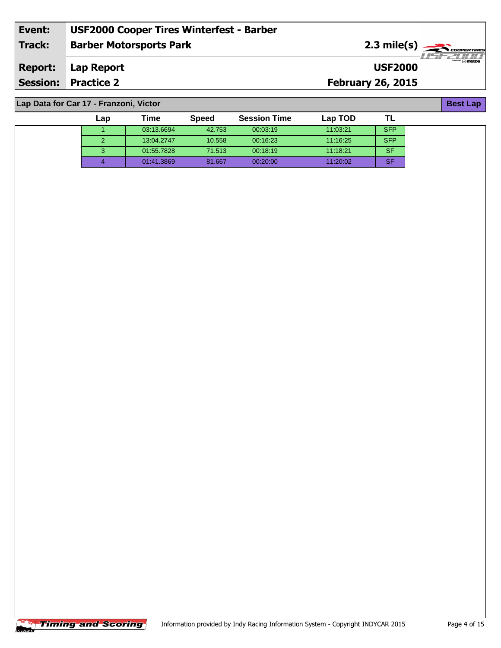| Event:          | <b>USF2000 Cooper Tires Winterfest - Barber</b> |                          |                  |
|-----------------|-------------------------------------------------|--------------------------|------------------|
| Track:          | <b>Barber Motorsports Park</b>                  |                          |                  |
| Report:         | Lap Report                                      | <b>USF2000</b>           | $\sqrt{n}$ mazpa |
| <b>Session:</b> | <b>Practice 2</b>                               | <b>February 26, 2015</b> |                  |
|                 |                                                 |                          |                  |

 03:13.6694 42.753 00:03:19 11:03:21 SFP 13:04.2747 10.558 00:16:23 11:16:25 SFP 01:55.7828 71.513 00:18:19 11:18:21 SF 01:41.3869 81.667 00:20:00 11:20:02 SF

**Lap Time Speed Session Time Lap TOD**

**Lap Data for Car 17 - Franzoni, Victor**

| Best Lap |
|----------|
|----------|

|            | <b>Timing and Scoring</b> | Information provided by Indy Racing Information S |
|------------|---------------------------|---------------------------------------------------|
| <b>CAR</b> |                           |                                                   |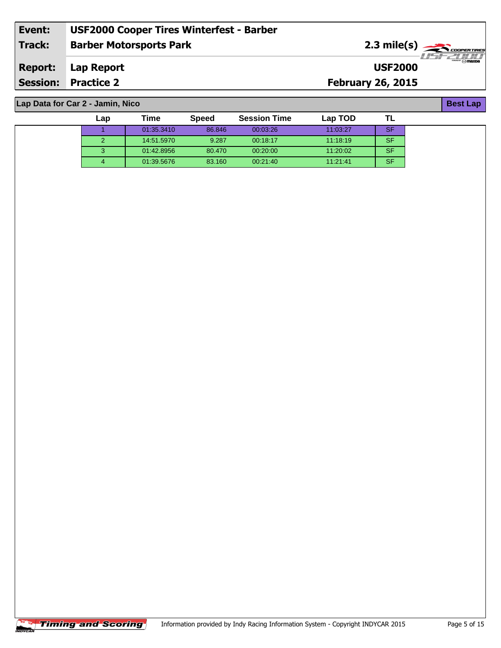| Event:          | <b>USF2000 Cooper Tires Winterfest - Barber</b> |                          |                |
|-----------------|-------------------------------------------------|--------------------------|----------------|
| Track:          | <b>Barber Motorsports Park</b>                  |                          |                |
| <b>Report:</b>  | Lap Report                                      | <b>USF2000</b>           | $\Theta$ mazpa |
| <b>Session:</b> | <b>Practice 2</b>                               | <b>February 26, 2015</b> |                |
|                 |                                                 |                          |                |

 01:35.3410 86.846 00:03:26 11:03:27 SF 14:51.5970 9.287 00:18:17 11:18:19 SF 01:42.8956 80.470 00:20:00 11:20:02 SF 01:39.5676 83.160 00:21:40 11:21:41 SF

**Lap Time Speed Session Time Lap TOD**

**Lap Data for Car 2 - Jamin, Nico**

| <b>Best Lap</b> |
|-----------------|
|-----------------|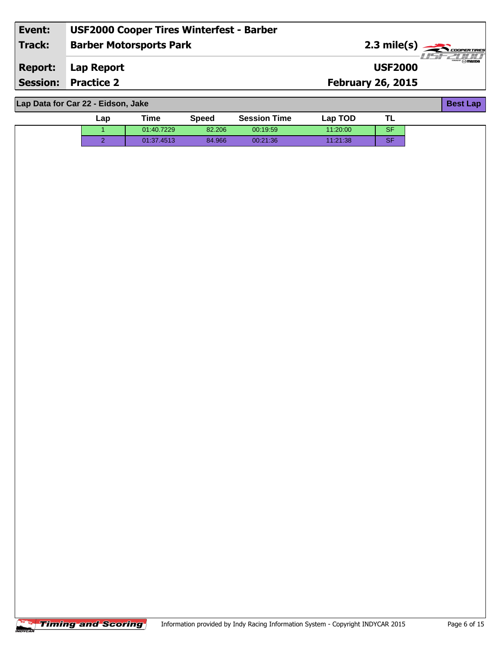| Event:          | <b>USF2000 Cooper Tires Winterfest - Barber</b> |                                       |
|-----------------|-------------------------------------------------|---------------------------------------|
| Track:          | <b>Barber Motorsports Park</b>                  | 2.3 mile(s)                           |
| <b>Report:</b>  | Lap Report                                      | $-$ " $\odot$ mazpa<br><b>USF2000</b> |
| <b>Session:</b> | <b>Practice 2</b>                               | <b>February 26, 2015</b>              |
|                 |                                                 |                                       |

| Lap Data for Car 22 - Eidson, Jake |     |            |              |                     |          |           | <b>Best Lap</b> |
|------------------------------------|-----|------------|--------------|---------------------|----------|-----------|-----------------|
|                                    | Lap | Time       | <b>Speed</b> | <b>Session Time</b> | Lap TOD  | TL        |                 |
|                                    |     | 01:40.7229 | 82.206       | 00:19:59            | 11:20:00 | <b>SF</b> |                 |
|                                    | ົ   | 01:37.4513 | 84.966       | 00:21:36            | 11:21:38 | <b>SF</b> |                 |
|                                    |     |            |              |                     |          |           |                 |
|                                    |     |            |              |                     |          |           |                 |

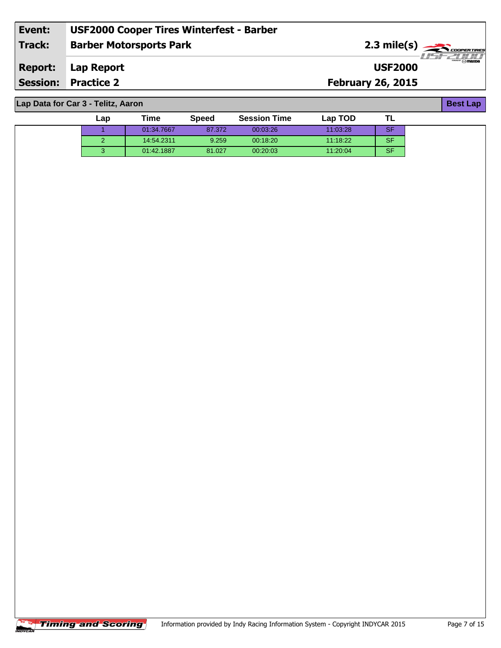| Event:  | <b>USF2000 Cooper Tires Winterfest - Barber</b> |                                                         |
|---------|-------------------------------------------------|---------------------------------------------------------|
| Track:  | <b>Barber Motorsports Park</b>                  | $2.3$ mile(s) $\overbrace{\hspace{2.5cm}}$ coorer TIRES |
| Report: | Lap Report                                      | $''$ $\odot$ mazna<br><b>USF2000</b>                    |
|         | <b>Session: Practice 2</b>                      | <b>February 26, 2015</b>                                |
|         |                                                 |                                                         |

**Lap Data for Car 3 - Telitz, Aaron**

| ∟ap | Time       | <b>Speed</b> | <b>Session Time</b> | Lap TOD  |           |  |
|-----|------------|--------------|---------------------|----------|-----------|--|
|     | 01:34.7667 | 87.372       | 00:03:26            | 11:03:28 | <b>SF</b> |  |
|     | 14:54.2311 | 9.259        | 00:18:20            | 11:18:22 | <b>SF</b> |  |
|     | 01:42.1887 | 81.027       | 00.20.03            | 11:20:04 | <b>SF</b> |  |



**Best Lap**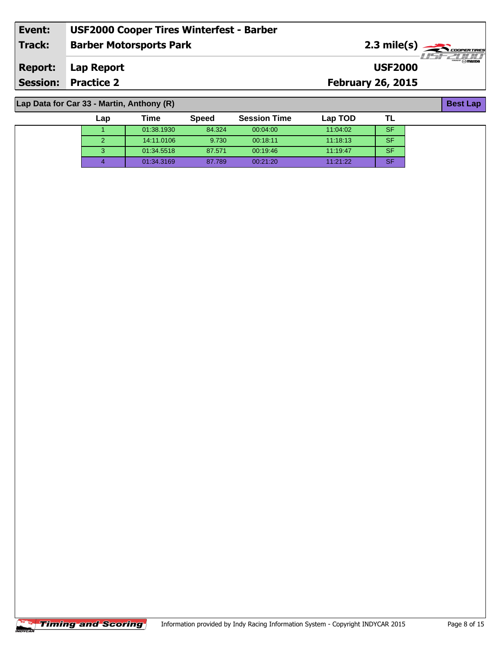| Event:         | <b>USF2000 Cooper Tires Winterfest - Barber</b> |                                                     |
|----------------|-------------------------------------------------|-----------------------------------------------------|
| Track:         | <b>Barber Motorsports Park</b>                  | $2.3 \text{ mile(s)} \longrightarrow \text{COPERT}$ |
| <b>Report:</b> | Lap Report                                      | $\odot$ mazna<br><b>USF2000</b>                     |
|                | <b>Session: Practice 2</b>                      | <b>February 26, 2015</b>                            |
|                |                                                 |                                                     |

1 01:38.1930 84.324 00:04:00 11:04:02 SF 14:11.0106 9.730 00:18:11 11:18:13 SF 01:34.5518 87.571 00:19:46 11:19:47 SF 01:34.3169 87.789 00:21:20 11:21:22 SF

**Lap Time Speed Session Time Lap TOD**

## **Lap Data for Car 33 - Martin, Anthony (R)**

| <b>Timing and Scoring</b><br>Infor |  |
|------------------------------------|--|
|------------------------------------|--|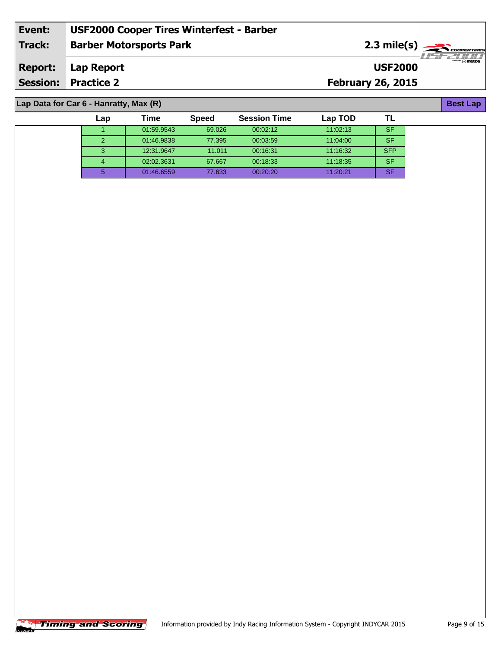| Event:          | <b>USF2000 Cooper Tires Winterfest - Barber</b> |                          |                  |
|-----------------|-------------------------------------------------|--------------------------|------------------|
| Track:          | <b>Barber Motorsports Park</b>                  |                          |                  |
| Report:         | Lap Report                                      | <b>USF2000</b>           | $\sqrt{n}$ mazpa |
| <b>Session:</b> | <b>Practice 2</b>                               | <b>February 26, 2015</b> |                  |
|                 |                                                 |                          |                  |

 01:59.9543 69.026 00:02:12 11:02:13 SF 01:46.9838 77.395 00:03:59 11:04:00 SF 12:31.9647 11.011 00:16:31 11:16:32 SFP 02:02.3631 67.667 00:18:33 11:18:35 SF 01:46.6559 77.633 00:20:20 11:20:21 SF

**Lap Time Speed Session Time Lap TOD**

**Lap Data for Car 6 - Hanratty, Max (R)**

| v.<br>ſ |
|---------|
|         |

|             |  | <b>Timing and Scoring</b> | Information provided b |  |
|-------------|--|---------------------------|------------------------|--|
| <b>VCAR</b> |  |                           |                        |  |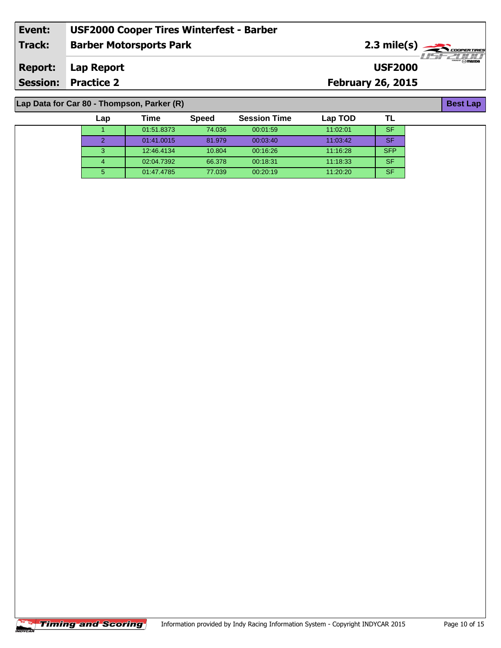| Event:         | <b>USF2000 Cooper Tires Winterfest - Barber</b> |                          |                                                               |  |  |  |  |
|----------------|-------------------------------------------------|--------------------------|---------------------------------------------------------------|--|--|--|--|
| <b>Track:</b>  | <b>Barber Motorsports Park</b>                  |                          | $2.3 \text{ mile(s)}$<br>·TEZULI                              |  |  |  |  |
| <b>Report:</b> | Lap Report                                      | <b>USF2000</b>           | $\overbrace{m\mathbf{a}\mathbf{x}\mathbf{p}}^{\text{source}}$ |  |  |  |  |
|                | <b>Session: Practice 2</b>                      | <b>February 26, 2015</b> |                                                               |  |  |  |  |
|                |                                                 |                          |                                                               |  |  |  |  |
|                | Lap Data for Car 80 - Thompson, Parker (R)      |                          |                                                               |  |  |  |  |

| Lap | Time       | <b>Speed</b> | <b>Session Time</b> | Lap TOD  |            |  |
|-----|------------|--------------|---------------------|----------|------------|--|
|     | 01:51.8373 | 74.036       | 00:01:59            | 11:02:01 | <b>SF</b>  |  |
|     | 01:41.0015 | 81.979       | 00:03:40            | 11:03:42 | <b>SF</b>  |  |
| З   | 12:46.4134 | 10.804       | 00:16:26            | 11:16:28 | <b>SFP</b> |  |
| Δ   | 02:04.7392 | 66.378       | 00:18:31            | 11:18:33 | <b>SF</b>  |  |
| 5   | 01:47.4785 | 77.039       | 00:20:19            | 11:20:20 | <b>SF</b>  |  |

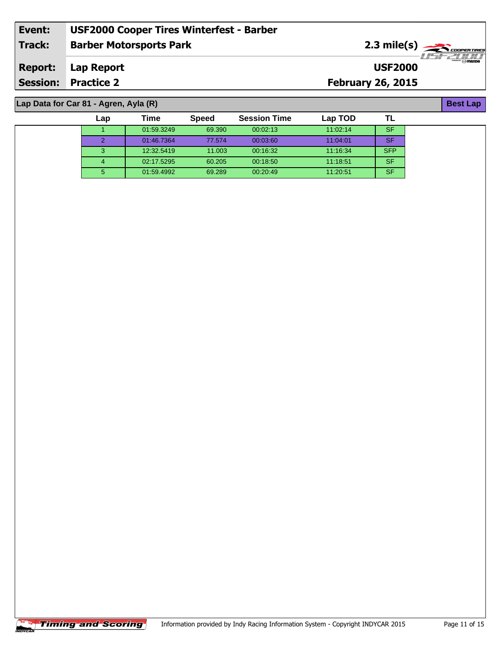| Event:          | <b>USF2000 Cooper Tires Winterfest - Barber</b> |                          |                  |
|-----------------|-------------------------------------------------|--------------------------|------------------|
| Track:          | <b>Barber Motorsports Park</b>                  |                          |                  |
| Report:         | Lap Report                                      | <b>USF2000</b>           | $\sqrt{n}$ mazpa |
| <b>Session:</b> | <b>Practice 2</b>                               | <b>February 26, 2015</b> |                  |
|                 |                                                 |                          |                  |

 01:59.3249 69.390 00:02:13 11:02:14 SF 01:46.7364 77.574 00:03:60 11:04:01 SF 12:32.5419 11.003 00:16:32 11:16:34 SFP 02:17.5295 60.205 00:18:50 11:18:51 SF 01:59.4992 69.289 00:20:49 11:20:51 SF

**Lap Time Speed Session Time Lap TOD**

## **Lap Data for Car 81 - Agren, Ayla (R)**

| <b>Best Lan</b> |
|-----------------|
|-----------------|

| <b>Timing and Scoring</b> | Information pro |
|---------------------------|-----------------|
|---------------------------|-----------------|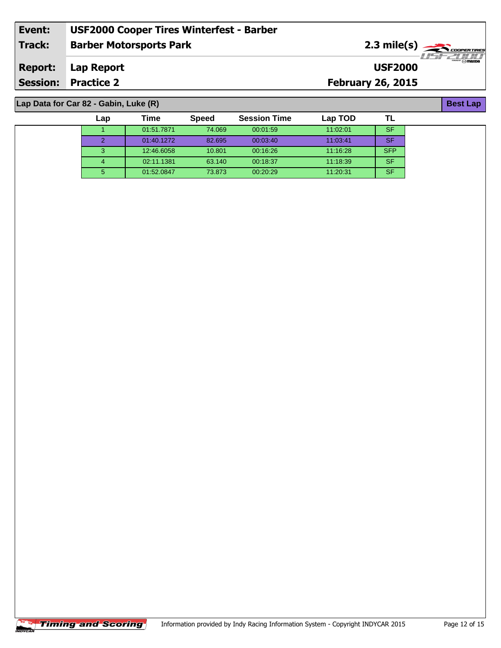| Event:          | <b>USF2000 Cooper Tires Winterfest - Barber</b> |                          |                  |
|-----------------|-------------------------------------------------|--------------------------|------------------|
| Track:          | <b>Barber Motorsports Park</b>                  |                          |                  |
| Report:         | Lap Report                                      | <b>USF2000</b>           | $\sqrt{n}$ mazpa |
| <b>Session:</b> | <b>Practice 2</b>                               | <b>February 26, 2015</b> |                  |
|                 |                                                 |                          |                  |

 01:51.7871 74.069 00:01:59 11:02:01 SF 01:40.1272 82.695 00:03:40 11:03:41 SF 12:46.6058 10.801 00:16:26 11:16:28 SFP 02:11.1381 63.140 00:18:37 11:18:39 SF 01:52.0847 73.873 00:20:29 11:20:31 SF

**Lap Time Speed Session Time Lap TOD**

**Lap Data for Car 82 - Gabin, Luke (R)**

**Best Lap**

|              | <b>Timing and Scoring</b> | Information provided by Indy Raci |
|--------------|---------------------------|-----------------------------------|
| <b>TYCAR</b> |                           |                                   |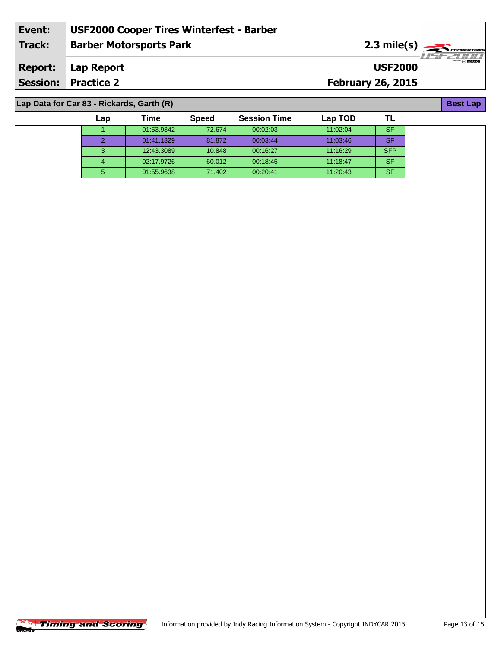| Event:         | <b>USF2000 Cooper Tires Winterfest - Barber</b> |                          |                       |
|----------------|-------------------------------------------------|--------------------------|-----------------------|
| <b>Track:</b>  | <b>Barber Motorsports Park</b>                  |                          | $2.3 \text{ mile(s)}$ |
| <b>Report:</b> | Lap Report                                      | <b>USF2000</b>           |                       |
|                | <b>Session: Practice 2</b>                      | <b>February 26, 2015</b> |                       |
|                |                                                 |                          |                       |
|                | Lap Data for Car 83 - Rickards, Garth (R)       |                          | <b>Best Lap</b>       |

| Lap | <b>Time</b> | <b>Speed</b> | <b>Session Time</b> | Lap TOD  |            |  |
|-----|-------------|--------------|---------------------|----------|------------|--|
|     | 01:53.9342  | 72.674       | 00:02:03            | 11:02:04 | <b>SF</b>  |  |
|     | 01:41.1329  | 81.872       | 00:03:44            | 11:03:46 | <b>SF</b>  |  |
|     | 12:43.3089  | 10.848       | 00:16:27            | 11:16:29 | <b>SFP</b> |  |
|     | 02:17.9726  | 60.012       | 00:18:45            | 11:18:47 | <b>SF</b>  |  |
| 5.  | 01:55.9638  | 71.402       | 00:20:41            | 11:20:43 | <b>SF</b>  |  |

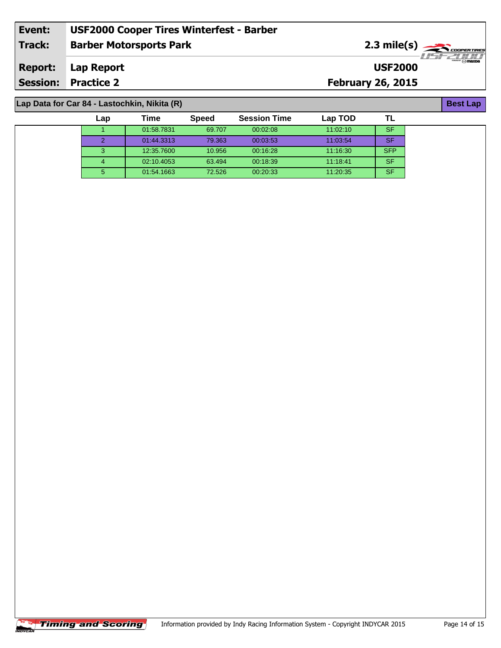| Event:         | <b>USF2000 Cooper Tires Winterfest - Barber</b> |                          |                       |
|----------------|-------------------------------------------------|--------------------------|-----------------------|
| <b>Track:</b>  | <b>Barber Motorsports Park</b>                  |                          | $2.3 \text{ mile(s)}$ |
| <b>Report:</b> | Lap Report                                      | <b>USF2000</b>           | $-1157771/11$         |
|                | <b>Session: Practice 2</b>                      | <b>February 26, 2015</b> |                       |
|                |                                                 |                          |                       |
|                | Lap Data for Car 84 - Lastochkin, Nikita (R)    |                          | <b>Best Lap</b>       |

| Lap | Time       | <b>Speed</b> | <b>Session Time</b> | Lap TOD  |            |  |
|-----|------------|--------------|---------------------|----------|------------|--|
|     | 01:58.7831 | 69.707       | 00:02:08            | 11:02:10 | SF         |  |
|     | 01:44.3313 | 79.363       | 00:03:53            | 11:03:54 | <b>SF</b>  |  |
|     | 12:35.7600 | 10.956       | 00:16:28            | 11:16:30 | <b>SFP</b> |  |
|     | 02:10.4053 | 63.494       | 00:18:39            | 11:18:41 | <b>SF</b>  |  |
| 5   | 01:54.1663 | 72.526       | 00:20:33            | 11:20:35 | <b>SF</b>  |  |